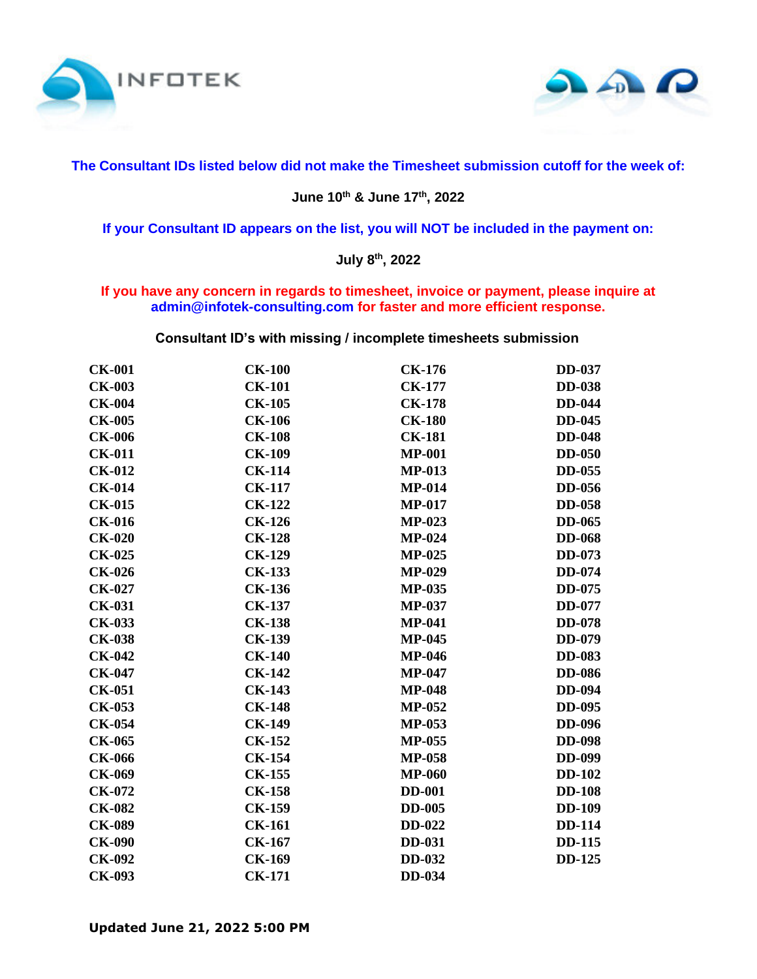



## **The Consultant IDs listed below did not make the Timesheet submission cutoff for the week of:**

## **June 10th & June 17 th, 2022**

**If your Consultant ID appears on the list, you will NOT be included in the payment on:**

## **July 8th, 2022**

## **If you have any concern in regards to timesheet, invoice or payment, please inquire at admin@infotek-consulting.com for faster and more efficient response.**

**Consultant ID's with missing / incomplete timesheets submission**

| <b>CK-001</b> | <b>CK-100</b> | <b>CK-176</b> | <b>DD-037</b> |
|---------------|---------------|---------------|---------------|
| <b>CK-003</b> | <b>CK-101</b> | <b>CK-177</b> | <b>DD-038</b> |
| <b>CK-004</b> | <b>CK-105</b> | <b>CK-178</b> | <b>DD-044</b> |
| <b>CK-005</b> | <b>CK-106</b> | <b>CK-180</b> | <b>DD-045</b> |
| <b>CK-006</b> | <b>CK-108</b> | <b>CK-181</b> | <b>DD-048</b> |
| <b>CK-011</b> | <b>CK-109</b> | <b>MP-001</b> | <b>DD-050</b> |
| <b>CK-012</b> | <b>CK-114</b> | <b>MP-013</b> | <b>DD-055</b> |
| <b>CK-014</b> | <b>CK-117</b> | <b>MP-014</b> | <b>DD-056</b> |
| <b>CK-015</b> | <b>CK-122</b> | <b>MP-017</b> | <b>DD-058</b> |
| <b>CK-016</b> | <b>CK-126</b> | <b>MP-023</b> | <b>DD-065</b> |
| <b>CK-020</b> | <b>CK-128</b> | <b>MP-024</b> | <b>DD-068</b> |
| <b>CK-025</b> | <b>CK-129</b> | <b>MP-025</b> | <b>DD-073</b> |
| <b>CK-026</b> | <b>CK-133</b> | <b>MP-029</b> | <b>DD-074</b> |
| <b>CK-027</b> | <b>CK-136</b> | <b>MP-035</b> | DD-075        |
| <b>CK-031</b> | <b>CK-137</b> | <b>MP-037</b> | DD-077        |
| <b>CK-033</b> | <b>CK-138</b> | <b>MP-041</b> | <b>DD-078</b> |
| <b>CK-038</b> | <b>CK-139</b> | <b>MP-045</b> | <b>DD-079</b> |
| <b>CK-042</b> | <b>CK-140</b> | <b>MP-046</b> | <b>DD-083</b> |
| <b>CK-047</b> | <b>CK-142</b> | <b>MP-047</b> | <b>DD-086</b> |
| <b>CK-051</b> | <b>CK-143</b> | <b>MP-048</b> | <b>DD-094</b> |
| <b>CK-053</b> | <b>CK-148</b> | <b>MP-052</b> | <b>DD-095</b> |
| <b>CK-054</b> | <b>CK-149</b> | <b>MP-053</b> | <b>DD-096</b> |
| <b>CK-065</b> | <b>CK-152</b> | <b>MP-055</b> | <b>DD-098</b> |
| <b>CK-066</b> | <b>CK-154</b> | <b>MP-058</b> | <b>DD-099</b> |
| <b>CK-069</b> | <b>CK-155</b> | <b>MP-060</b> | <b>DD-102</b> |
| CK-072        | <b>CK-158</b> | <b>DD-001</b> | <b>DD-108</b> |
| <b>CK-082</b> | <b>CK-159</b> | <b>DD-005</b> | <b>DD-109</b> |
| <b>CK-089</b> | <b>CK-161</b> | <b>DD-022</b> | <b>DD-114</b> |
| <b>CK-090</b> | <b>CK-167</b> | <b>DD-031</b> | <b>DD-115</b> |
| <b>CK-092</b> | <b>CK-169</b> | <b>DD-032</b> | <b>DD-125</b> |
| CK-093        | <b>CK-171</b> | <b>DD-034</b> |               |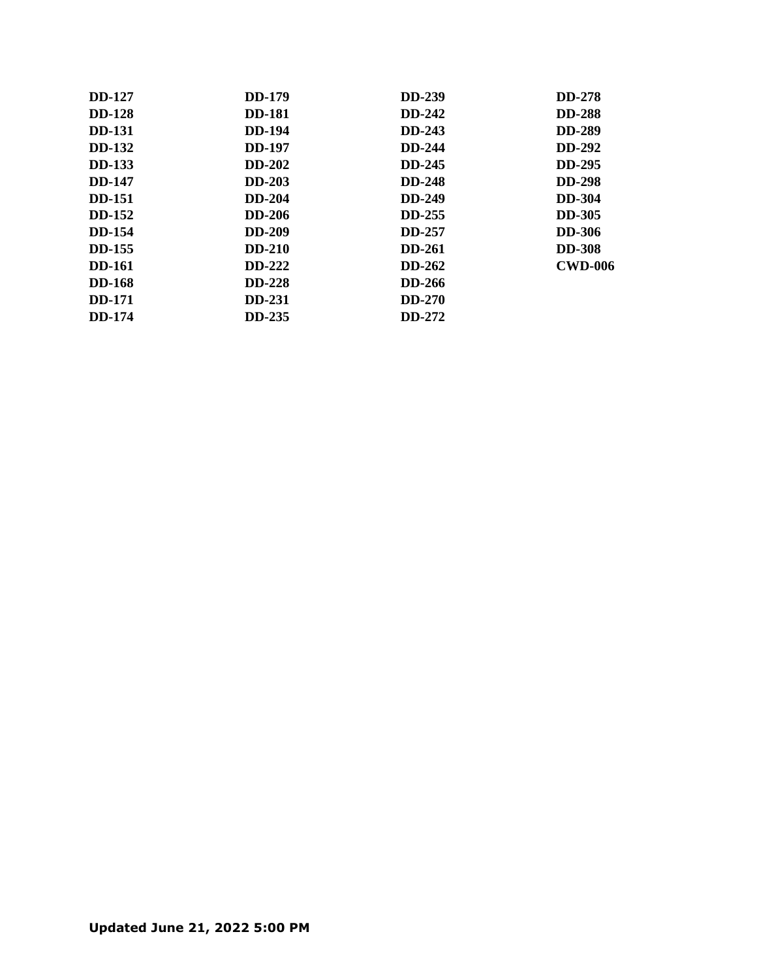| <b>DD-127</b> | <b>DD-179</b> | <b>DD-239</b> | <b>DD-278</b>  |
|---------------|---------------|---------------|----------------|
| <b>DD-128</b> | <b>DD-181</b> | <b>DD-242</b> | <b>DD-288</b>  |
| <b>DD-131</b> | <b>DD-194</b> | <b>DD-243</b> | <b>DD-289</b>  |
| <b>DD-132</b> | <b>DD-197</b> | <b>DD-244</b> | <b>DD-292</b>  |
| <b>DD-133</b> | <b>DD-202</b> | <b>DD-245</b> | <b>DD-295</b>  |
| <b>DD-147</b> | <b>DD-203</b> | <b>DD-248</b> | <b>DD-298</b>  |
| <b>DD-151</b> | <b>DD-204</b> | <b>DD-249</b> | <b>DD-304</b>  |
| <b>DD-152</b> | <b>DD-206</b> | <b>DD-255</b> | <b>DD-305</b>  |
| <b>DD-154</b> | <b>DD-209</b> | <b>DD-257</b> | <b>DD-306</b>  |
| <b>DD-155</b> | <b>DD-210</b> | <b>DD-261</b> | <b>DD-308</b>  |
| <b>DD-161</b> | <b>DD-222</b> | <b>DD-262</b> | <b>CWD-006</b> |
| <b>DD-168</b> | <b>DD-228</b> | DD-266        |                |
| <b>DD-171</b> | <b>DD-231</b> | <b>DD-270</b> |                |
| <b>DD-174</b> | <b>DD-235</b> | DD-272        |                |